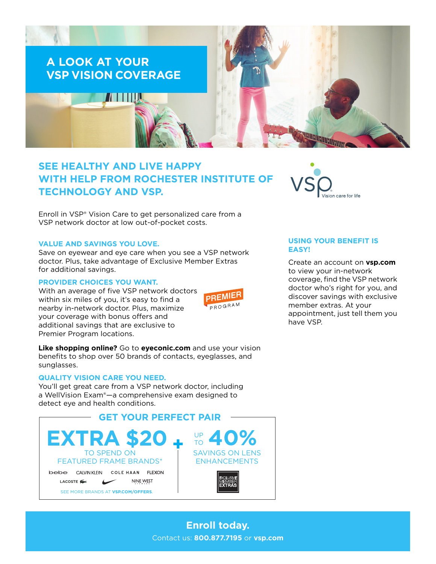

# **SEE HEALTHY AND LIVE HAPPY WITH HELP FROM ROCHESTER INSTITUTE OF TECHNOLOGY AND VSP.**

Enroll in VSP® Vision Care to get personalized care from a VSP network doctor at low out-of-pocket costs.

#### **VALUE AND SAVINGS YOU LOVE.**

Save on eyewear and eye care when you see a VSP network doctor. Plus, take advantage of Exclusive Member Extras for additional savings.

#### **PROVIDER CHOICES YOU WANT.**

With an average of five VSP network doctors within six miles of you, it's easy to find a nearby in-network doctor. Plus, maximize your coverage with bonus offers and additional savings that are exclusive to Premier Program locations.



**Like shopping online?** Go to **[eyeconic.com](https://www.eyeconic.com)** and use your vision benefits to shop over 50 brands of contacts, eyeglasses, and sunglasses.

## **QUALITY VISION CARE YOU NEED.**

You'll get great care from a VSP network doctor, including a WellVision Exam®—a comprehensive exam designed to detect eye and health conditions.





## **USING YOUR BENEFIT IS EASY!**

Create an account on **[vsp.com](http://www.vsp.com)** to view your in-network coverage, find the VSP network doctor who's right for you, and discover savings with exclusive member extras. At your appointment, just tell them you have VSP.

**Enroll today.** Contact us: **800.877.7195** or **[vsp.com](http://www.vsp.com)**